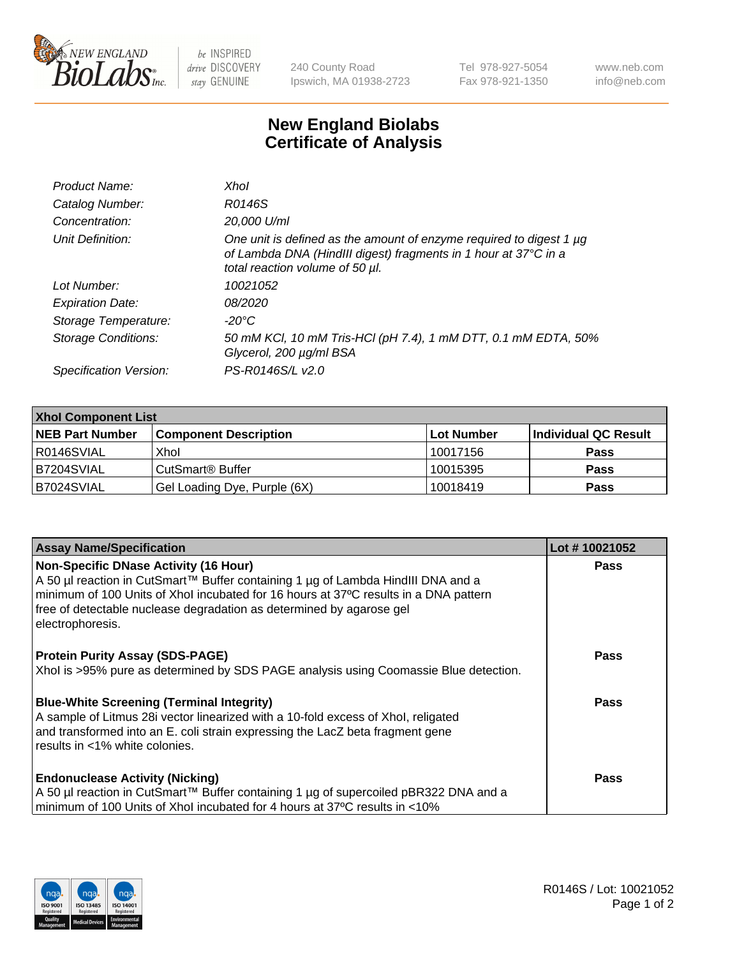

 $be$  INSPIRED drive DISCOVERY stay GENUINE

240 County Road Ipswich, MA 01938-2723 Tel 978-927-5054 Fax 978-921-1350 www.neb.com info@neb.com

## **New England Biolabs Certificate of Analysis**

| Product Name:              | Xhol                                                                                                                                                                      |
|----------------------------|---------------------------------------------------------------------------------------------------------------------------------------------------------------------------|
| Catalog Number:            | R0146S                                                                                                                                                                    |
| Concentration:             | 20,000 U/ml                                                                                                                                                               |
| Unit Definition:           | One unit is defined as the amount of enzyme required to digest 1 µg<br>of Lambda DNA (HindIII digest) fragments in 1 hour at 37°C in a<br>total reaction volume of 50 µl. |
| Lot Number:                | 10021052                                                                                                                                                                  |
| <b>Expiration Date:</b>    | 08/2020                                                                                                                                                                   |
| Storage Temperature:       | -20°C                                                                                                                                                                     |
| <b>Storage Conditions:</b> | 50 mM KCl, 10 mM Tris-HCl (pH 7.4), 1 mM DTT, 0.1 mM EDTA, 50%<br>Glycerol, 200 µg/ml BSA                                                                                 |
| Specification Version:     | PS-R0146S/L v2.0                                                                                                                                                          |

| <b>Xhol Component List</b> |                              |             |                      |  |  |
|----------------------------|------------------------------|-------------|----------------------|--|--|
| <b>NEB Part Number</b>     | <b>Component Description</b> | ∣Lot Number | Individual QC Result |  |  |
| R0146SVIAL                 | Xhol                         | 10017156    | <b>Pass</b>          |  |  |
| IB7204SVIAL                | CutSmart® Buffer             | 10015395    | <b>Pass</b>          |  |  |
| B7024SVIAL                 | Gel Loading Dye, Purple (6X) | 10018419    | <b>Pass</b>          |  |  |

| <b>Assay Name/Specification</b>                                                                                                                                                                                                                                                                                      | Lot #10021052 |
|----------------------------------------------------------------------------------------------------------------------------------------------------------------------------------------------------------------------------------------------------------------------------------------------------------------------|---------------|
| <b>Non-Specific DNase Activity (16 Hour)</b><br>A 50 µl reaction in CutSmart™ Buffer containing 1 µg of Lambda HindIII DNA and a<br>minimum of 100 Units of Xhol incubated for 16 hours at 37°C results in a DNA pattern<br>free of detectable nuclease degradation as determined by agarose gel<br>electrophoresis. | <b>Pass</b>   |
| <b>Protein Purity Assay (SDS-PAGE)</b><br>Xhol is >95% pure as determined by SDS PAGE analysis using Coomassie Blue detection.                                                                                                                                                                                       | <b>Pass</b>   |
| <b>Blue-White Screening (Terminal Integrity)</b><br>A sample of Litmus 28i vector linearized with a 10-fold excess of Xhol, religated<br>and transformed into an E. coli strain expressing the LacZ beta fragment gene<br>results in <1% white colonies.                                                             | Pass          |
| <b>Endonuclease Activity (Nicking)</b><br>A 50 µl reaction in CutSmart™ Buffer containing 1 µg of supercoiled pBR322 DNA and a<br>minimum of 100 Units of Xhol incubated for 4 hours at 37°C results in <10%                                                                                                         | Pass          |